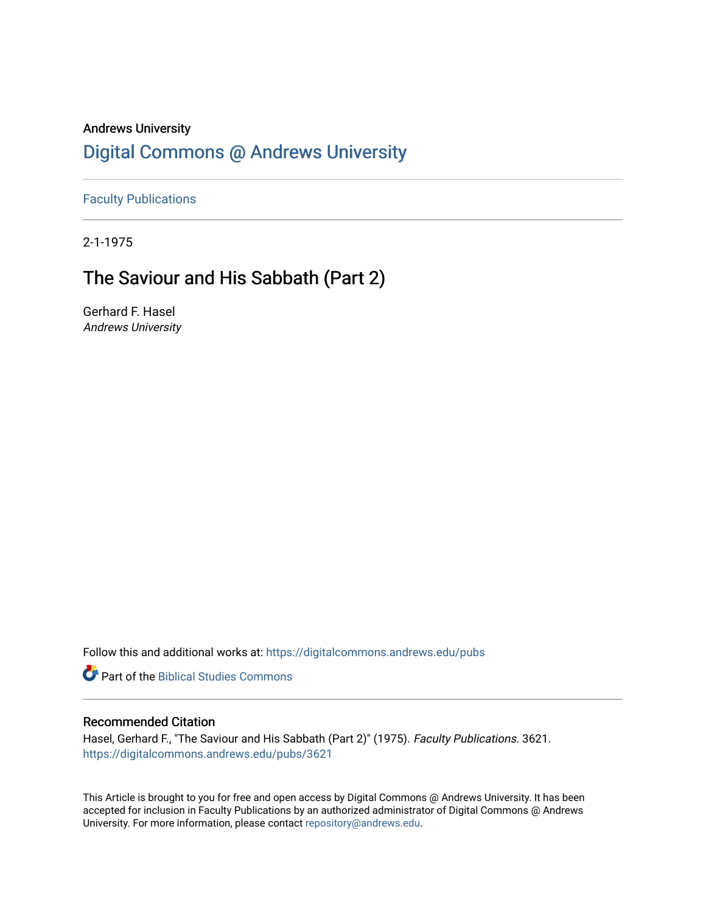## Andrews University [Digital Commons @ Andrews University](https://digitalcommons.andrews.edu/)

[Faculty Publications](https://digitalcommons.andrews.edu/pubs)

2-1-1975

## The Saviour and His Sabbath (Part 2)

Gerhard F. Hasel Andrews University

Follow this and additional works at: [https://digitalcommons.andrews.edu/pubs](https://digitalcommons.andrews.edu/pubs?utm_source=digitalcommons.andrews.edu%2Fpubs%2F3621&utm_medium=PDF&utm_campaign=PDFCoverPages) 

**Part of the Biblical Studies Commons** 

#### Recommended Citation

Hasel, Gerhard F., "The Saviour and His Sabbath (Part 2)" (1975). Faculty Publications. 3621. [https://digitalcommons.andrews.edu/pubs/3621](https://digitalcommons.andrews.edu/pubs/3621?utm_source=digitalcommons.andrews.edu%2Fpubs%2F3621&utm_medium=PDF&utm_campaign=PDFCoverPages) 

This Article is brought to you for free and open access by Digital Commons @ Andrews University. It has been accepted for inclusion in Faculty Publications by an authorized administrator of Digital Commons @ Andrews University. For more information, please contact [repository@andrews.edu](mailto:repository@andrews.edu).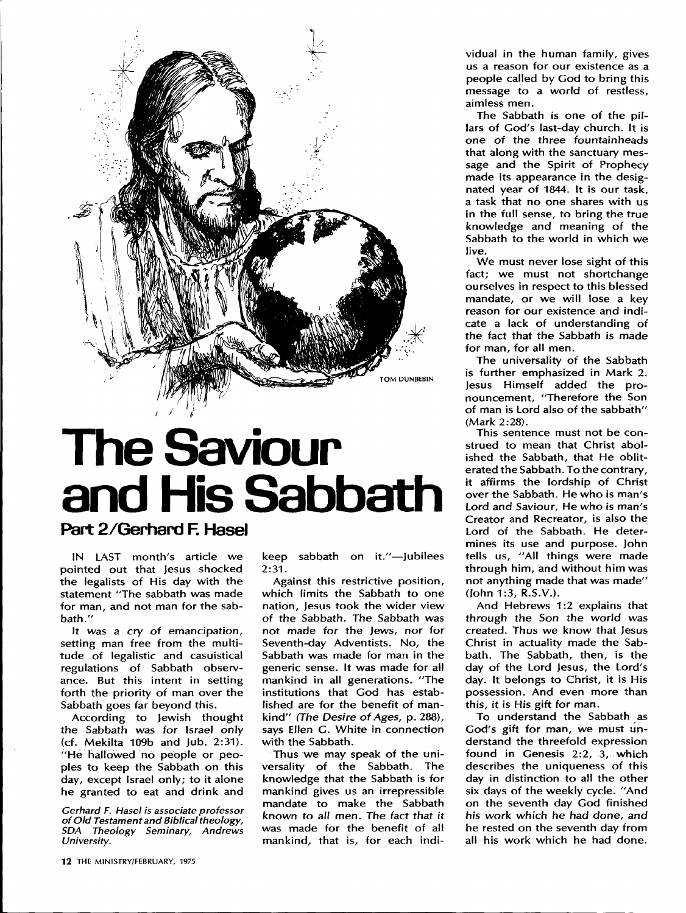

# The Saviour and His Sabbath

### Part 2/Gerhard F. Hasel

IN LAST month's article we pointed out that Jesus shocked the legalists of His day with the statement "The sabbath was made for man, and not man for the sab bath."

It was a cry of emancipation, setting man free from the multi tude of legalistic and casuistical regulations of Sabbath observ ance. But this intent in setting forth the priority of man over the Sabbath goes far beyond this.

According to Jewish thought the Sabbath was for Israel only (cf. Mekilta 109b and Jub. 2:31). "He hallowed no people or peo ples to keep the Sabbath on this day, except Israel only; to it alone he granted to eat and drink and

*Gerhard F. Hasel is associate professor*  $o$ f Old Testament and Biblical theology, *SDA* Theology Seminary, Andrews University.

12 THE MINISTRY/FEBRUARY, 1975

keep sabbath on it."-Jubilees 2:31.

Against this restrictive position, which limits the Sabbath to one nation, Jesus took the wider view of the Sabbath. The Sabbath was not made for the Jews, nor for Seventh-day Adventists. No, the Sabbath was made for man in the generic sense. It was made for all mankind in all generations. "The institutions that God has estab lished are for the benefit of man kind" *(The Desire of Ages, p. 288)*, says Ellen C. White in connection with the Sabbath.

Thus we may speak of the uni versality of the Sabbath. The knowledge that the Sabbath is for mankind gives us an irrepressible mandate to make the Sabbath known to all men. The fact that it was made for the benefit of all mankind, that is, for each indi

vidual in the human family, gives us a reason for our existence as a people called by Cod to bring this message to a world of restless, aimless men.

The Sabbath is one of the pil lars of God's last-day church. It is one of the three fountainheads that along with the sanctuary mes sage and the Spirit of Prophecy made its appearance in the desig nated year of 1844. It is our task, a task that no one shares with us in the full sense, to bring the true knowledge and meaning of the Sabbath to the world in which we live.

We must never lose sight of this fact; we must not shortchange ourselves in respect to this blessed mandate, or we will lose a key reason for our existence and indi cate a lack of understanding of the fact that the Sabbath is made for man, for all men.

The universality of the Sabbath is further emphasized in Mark 2. Jesus Himself added the pro nouncement, "Therefore the Son of man is Lord also of the sabbath" (Mark 2:28).

This sentence must not be con strued to mean that Christ abol ished the Sabbath, that He oblit erated the Sabbath. To the contrary, it affirms the lordship of Christ over the Sabbath. He who is man's Lord and Saviour, He who is man's Creator and Recreator, is also the Lord of the Sabbath. He deter mines its use and purpose. John tells us, "All things were made through him, and without him was not anything made that was made" (John 1:3, R.S.V.).

And Hebrews 1:2 explains that through the Son the world was created. Thus we know that Jesus Christ in actuality made the Sab bath. The Sabbath, then, is the day of the Lord Jesus, the Lord's day. It belongs to Christ, it is His possession. And even more than this, it is His gift for man.

To understand the Sabbath as God's gift for man, we must un derstand the threefold expression found in Genesis 2:2, 3, which describes the uniqueness of this day in distinction to all the other six days of the weekly cycle. "And on the seventh day God finished his work which he had done, and he rested on the seventh day from all his work which he had done.